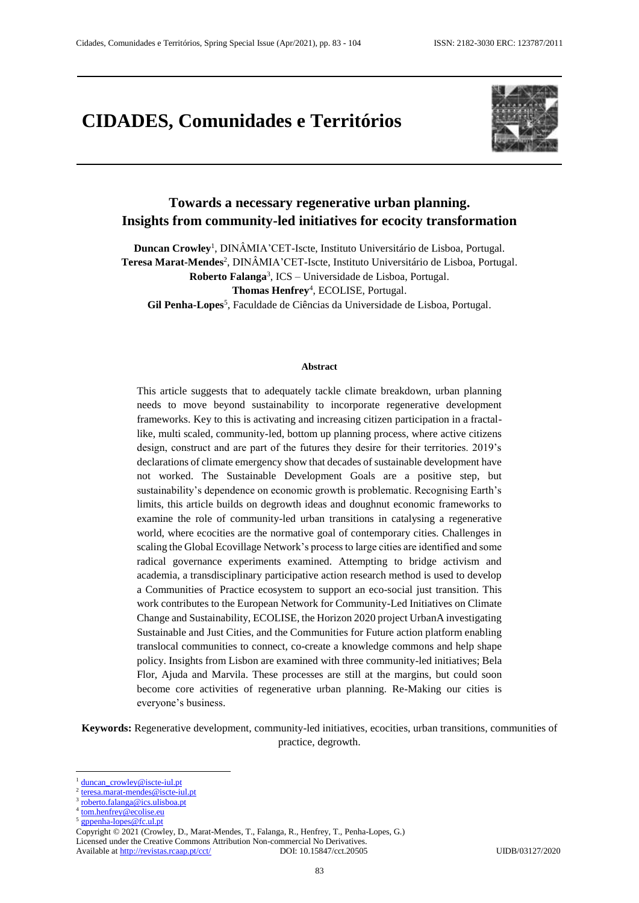# **CIDADES, Comunidades e Territórios**



# **Towards a necessary regenerative urban planning. Insights from community-led initiatives for ecocity transformation**

**Duncan Crowley**<sup>1</sup> , DINÂMIA'CET-Iscte, Instituto Universitário de Lisboa, Portugal. Teresa Marat-Mendes<sup>2</sup>, DINÂMIA'CET-Iscte, Instituto Universitário de Lisboa, Portugal. **Roberto Falanga**<sup>3</sup> , ICS – Universidade de Lisboa, Portugal. **Thomas Henfrey**<sup>4</sup> , ECOLISE, Portugal. Gil Penha-Lopes<sup>5</sup>, Faculdade de Ciências da Universidade de Lisboa, Portugal.

#### **Abstract**

This article suggests that to adequately tackle climate breakdown, urban planning needs to move beyond sustainability to incorporate regenerative development frameworks. Key to this is activating and increasing citizen participation in a fractallike, multi scaled, community-led, bottom up planning process, where active citizens design, construct and are part of the futures they desire for their territories. 2019's declarations of climate emergency show that decades of sustainable development have not worked. The Sustainable Development Goals are a positive step, but sustainability's dependence on economic growth is problematic. Recognising Earth's limits, this article builds on degrowth ideas and doughnut economic frameworks to examine the role of community-led urban transitions in catalysing a regenerative world, where ecocities are the normative goal of contemporary cities. Challenges in scaling the Global Ecovillage Network's process to large cities are identified and some radical governance experiments examined. Attempting to bridge activism and academia, a transdisciplinary participative action research method is used to develop a Communities of Practice ecosystem to support an eco-social just transition. This work contributes to the European Network for Community-Led Initiatives on Climate Change and Sustainability, ECOLISE, the Horizon 2020 project UrbanA investigating Sustainable and Just Cities, and the Communities for Future action platform enabling translocal communities to connect, co-create a knowledge commons and help shape policy. Insights from Lisbon are examined with three community-led initiatives; Bela Flor, Ajuda and Marvila. These processes are still at the margins, but could soon become core activities of regenerative urban planning. Re-Making our cities is everyone's business.

**Keywords:** Regenerative development, community-led initiatives, ecocities, urban transitions, communities of practice, degrowth.

 $\overline{a}$ 

Licensed under the Creative Commons Attribution Non-commercial No Derivatives.<br>Available at http://revistas.rcaap.pt/cct/ DOI: 10.15847/cct.20505 Available at<http://revistas.rcaap.pt/cct/>DOI: 10.15847/cct.20505 UIDB/03127/2020

[duncan\\_crowley@iscte-iul.pt](mailto:duncan_crowley@iscte-iul.pt)

<sup>2</sup> [teresa.marat-mendes@iscte-iul.pt](mailto:teresa.marat-mendes@iscte-iul.pt)

<sup>3</sup> [roberto.falanga@ics.ulisboa.pt](mailto:roberto.falanga@ics.ulisboa.pt)

<sup>4</sup> [tom.henfrey@ecolise.eu](mailto:tom.henfrey@ecolise.eu)

<sup>5</sup> [gppenha-lopes@fc.ul.pt](mailto:gppenha-lopes@fc.ul.pt)

Copyright © 2021 (Crowley, D., Marat-Mendes, T., Falanga, R., Henfrey, T., Penha-Lopes, G.)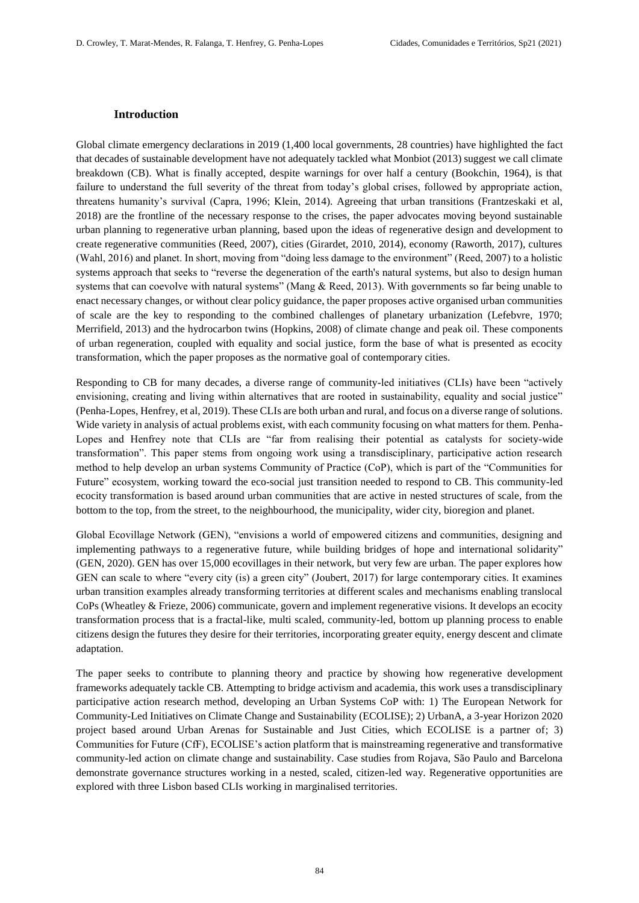#### **Introduction**

Global climate emergency declarations in 2019 (1,400 local governments, 28 countries) have highlighted the fact that decades of sustainable development have not adequately tackled what Monbiot (2013) suggest we call climate breakdown (CB). What is finally accepted, despite warnings for over half a century (Bookchin, 1964), is that failure to understand the full severity of the threat from today's global crises, followed by appropriate action, threatens humanity's survival (Capra, 1996; Klein, 2014). Agreeing that urban transitions (Frantzeskaki et al, 2018) are the frontline of the necessary response to the crises, the paper advocates moving beyond sustainable urban planning to regenerative urban planning, based upon the ideas of regenerative design and development to create regenerative communities (Reed, 2007), cities (Girardet, 2010, 2014), economy (Raworth, 2017), cultures (Wahl, 2016) and planet. In short, moving from "doing less damage to the environment" (Reed, 2007) to a holistic systems approach that seeks to "reverse the degeneration of the earth's natural systems, but also to design human systems that can coevolve with natural systems" (Mang & Reed, 2013). With governments so far being unable to enact necessary changes, or without clear policy guidance, the paper proposes active organised urban communities of scale are the key to responding to the combined challenges of planetary urbanization (Lefebvre, 1970; Merrifield, 2013) and the hydrocarbon twins (Hopkins, 2008) of climate change and peak oil. These components of urban regeneration, coupled with equality and social justice, form the base of what is presented as ecocity transformation, which the paper proposes as the normative goal of contemporary cities.

Responding to CB for many decades, a diverse range of community-led initiatives (CLIs) have been "actively envisioning, creating and living within alternatives that are rooted in sustainability, equality and social justice" (Penha-Lopes, Henfrey, et al, 2019). These CLIs are both urban and rural, and focus on a diverse range of solutions. Wide variety in analysis of actual problems exist, with each community focusing on what matters for them. Penha-Lopes and Henfrey note that CLIs are "far from realising their potential as catalysts for society-wide transformation". This paper stems from ongoing work using a transdisciplinary, participative action research method to help develop an urban systems Community of Practice (CoP), which is part of the "Communities for Future" ecosystem, working toward the eco-social just transition needed to respond to CB. This community-led ecocity transformation is based around urban communities that are active in nested structures of scale, from the bottom to the top, from the street, to the neighbourhood, the municipality, wider city, bioregion and planet.

Global Ecovillage Network (GEN), "envisions a world of empowered citizens and communities, designing and implementing pathways to a regenerative future, while building bridges of hope and international solidarity" (GEN, 2020). GEN has over 15,000 ecovillages in their network, but very few are urban. The paper explores how GEN can scale to where "every city (is) a green city" (Joubert, 2017) for large contemporary cities. It examines urban transition examples already transforming territories at different scales and mechanisms enabling translocal CoPs (Wheatley & Frieze, 2006) communicate, govern and implement regenerative visions. It develops an ecocity transformation process that is a fractal-like, multi scaled, community-led, bottom up planning process to enable citizens design the futures they desire for their territories, incorporating greater equity, energy descent and climate adaptation.

The paper seeks to contribute to planning theory and practice by showing how regenerative development frameworks adequately tackle CB. Attempting to bridge activism and academia, this work uses a transdisciplinary participative action research method, developing an Urban Systems CoP with: 1) The European Network for Community-Led Initiatives on Climate Change and Sustainability (ECOLISE); 2) UrbanA, a 3-year Horizon 2020 project based around Urban Arenas for Sustainable and Just Cities, which ECOLISE is a partner of; 3) Communities for Future (CfF), ECOLISE's action platform that is mainstreaming regenerative and transformative community-led action on climate change and sustainability. Case studies from Rojava, São Paulo and Barcelona demonstrate governance structures working in a nested, scaled, citizen-led way. Regenerative opportunities are explored with three Lisbon based CLIs working in marginalised territories.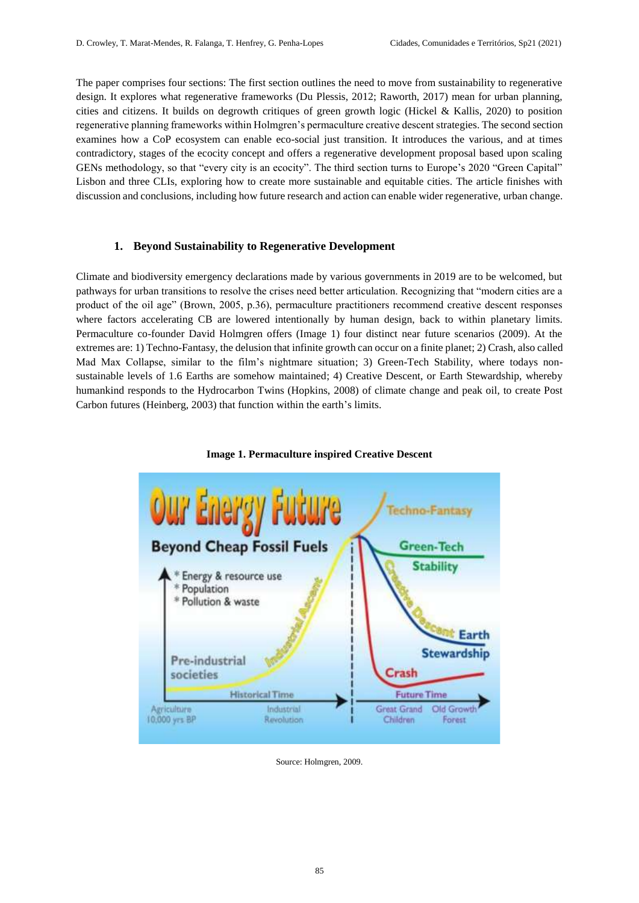The paper comprises four sections: The first section outlines the need to move from sustainability to regenerative design. It explores what regenerative frameworks (Du Plessis, 2012; Raworth, 2017) mean for urban planning, cities and citizens. It builds on degrowth critiques of green growth logic (Hickel & Kallis, 2020) to position regenerative planning frameworks within Holmgren's permaculture creative descent strategies. The second section examines how a CoP ecosystem can enable eco-social just transition. It introduces the various, and at times contradictory, stages of the ecocity concept and offers a regenerative development proposal based upon scaling GENs methodology, so that "every city is an ecocity". The third section turns to Europe's 2020 "Green Capital" Lisbon and three CLIs, exploring how to create more sustainable and equitable cities. The article finishes with discussion and conclusions, including how future research and action can enable wider regenerative, urban change.

# **1. Beyond Sustainability to Regenerative Development**

Climate and biodiversity emergency declarations made by various governments in 2019 are to be welcomed, but pathways for urban transitions to resolve the crises need better articulation. Recognizing that "modern cities are a product of the oil age" (Brown, 2005, p.36), permaculture practitioners recommend creative descent responses where factors accelerating CB are lowered intentionally by human design, back to within planetary limits. Permaculture co-founder David Holmgren offers (Image 1) four distinct near future scenarios (2009). At the extremes are: 1) Techno-Fantasy, the delusion that infinite growth can occur on a finite planet; 2) Crash, also called Mad Max Collapse, similar to the film's nightmare situation; 3) Green-Tech Stability, where todays nonsustainable levels of 1.6 Earths are somehow maintained; 4) Creative Descent, or Earth Stewardship, whereby humankind responds to the Hydrocarbon Twins (Hopkins, 2008) of climate change and peak oil, to create Post Carbon futures (Heinberg, 2003) that function within the earth's limits.



**Image 1. Permaculture inspired Creative Descent**

Source: Holmgren, 2009.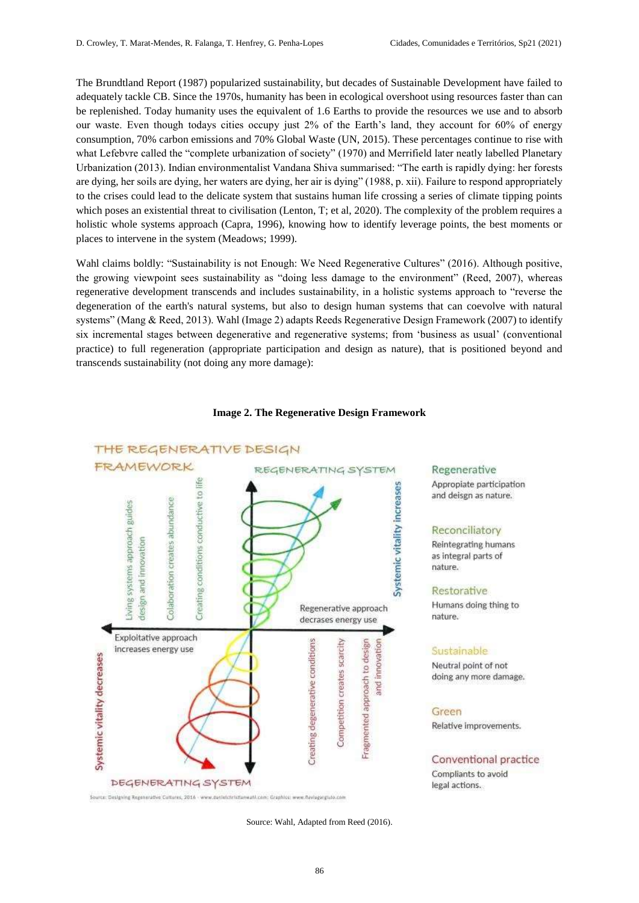The Brundtland Report (1987) popularized sustainability, but decades of Sustainable Development have failed to adequately tackle CB. Since the 1970s, humanity has been in ecological overshoot using resources faster than can be replenished. Today humanity uses the equivalent of 1.6 Earths to provide the resources we use and to absorb our waste. Even though todays cities occupy just 2% of the Earth's land, they account for 60% of energy consumption, 70% carbon emissions and 70% Global Waste (UN, 2015). These percentages continue to rise with what Lefebvre called the "complete urbanization of society" (1970) and Merrifield later neatly labelled Planetary Urbanization (2013). Indian environmentalist Vandana Shiva summarised: "The earth is rapidly dying: her forests are dying, her soils are dying, her waters are dying, her air is dying" (1988, p. xii). Failure to respond appropriately to the crises could lead to the delicate system that sustains human life crossing a series of climate tipping points which poses an existential threat to civilisation (Lenton, T; et al, 2020). The complexity of the problem requires a holistic whole systems approach (Capra, 1996), knowing how to identify leverage points, the best moments or places to intervene in the system (Meadows; 1999).

Wahl claims boldly: "Sustainability is not Enough: We Need Regenerative Cultures" (2016). Although positive, the growing viewpoint sees sustainability as "doing less damage to the environment" (Reed, 2007), whereas regenerative development transcends and includes sustainability, in a holistic systems approach to "reverse the degeneration of the earth's natural systems, but also to design human systems that can coevolve with natural systems" (Mang & Reed, 2013). Wahl (Image 2) adapts Reeds Regenerative Design Framework (2007) to identify six incremental stages between degenerative and regenerative systems; from 'business as usual' (conventional practice) to full regeneration (appropriate participation and design as nature), that is positioned beyond and transcends sustainability (not doing any more damage):



#### **Image 2. The Regenerative Design Framework**

Source: Wahl, Adapted from Reed (2016).

Regenerative Appropiate participation and deisgn as nature.

# Reconciliatory

Reintegrating humans as integral parts of nature.

#### Restorative

Humans doing thing to nature.

#### Sustainable

Neutral point of not doing any more damage.

#### Green

Relative improvements.

Conventional practice Compliants to avoid legal actions.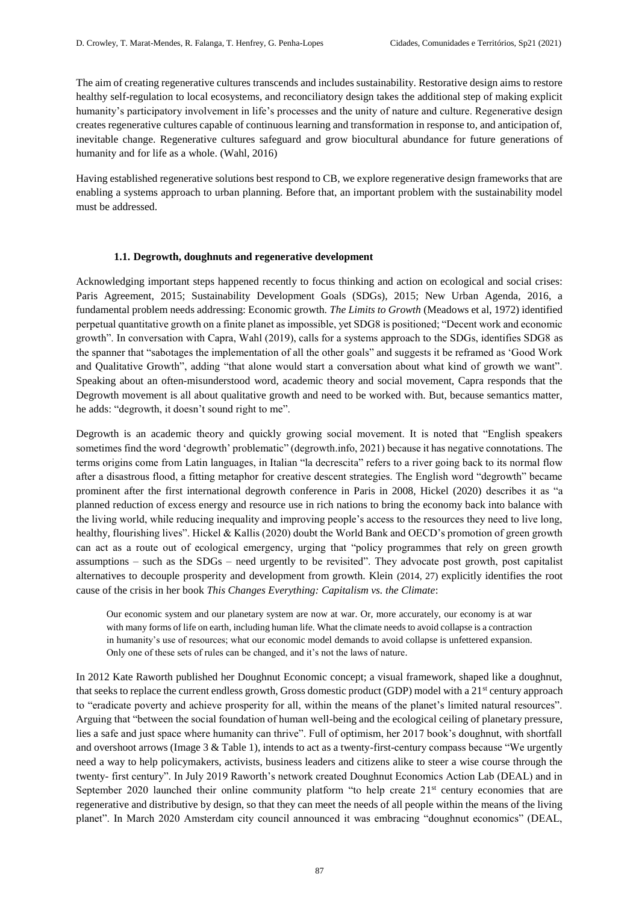The aim of creating regenerative cultures transcends and includes sustainability. Restorative design aims to restore healthy self-regulation to local ecosystems, and reconciliatory design takes the additional step of making explicit humanity's participatory involvement in life's processes and the unity of nature and culture. Regenerative design creates regenerative cultures capable of continuous learning and transformation in response to, and anticipation of, inevitable change. Regenerative cultures safeguard and grow biocultural abundance for future generations of humanity and for life as a whole. (Wahl, 2016)

Having established regenerative solutions best respond to CB, we explore regenerative design frameworks that are enabling a systems approach to urban planning. Before that, an important problem with the sustainability model must be addressed.

# **1.1. Degrowth, doughnuts and regenerative development**

Acknowledging important steps happened recently to focus thinking and action on ecological and social crises: Paris Agreement, 2015; Sustainability Development Goals (SDGs), 2015; New Urban Agenda, 2016, a fundamental problem needs addressing: Economic growth. *The Limits to Growth* (Meadows et al, 1972) identified perpetual quantitative growth on a finite planet as impossible, yet SDG8 is positioned; "Decent work and economic growth". In conversation with Capra, Wahl (2019), calls for a systems approach to the SDGs, identifies SDG8 as the spanner that "sabotages the implementation of all the other goals" and suggests it be reframed as 'Good Work and Qualitative Growth", adding "that alone would start a conversation about what kind of growth we want". Speaking about an often-misunderstood word, academic theory and social movement, Capra responds that the Degrowth movement is all about qualitative growth and need to be worked with. But, because semantics matter, he adds: "degrowth, it doesn't sound right to me".

Degrowth is an academic theory and quickly growing social movement. It is noted that "English speakers sometimes find the word 'degrowth' problematic" (degrowth.info, 2021) because it has negative connotations. The terms origins come from Latin languages, in Italian "la decrescita" refers to a river going back to its normal flow after a disastrous flood, a fitting metaphor for creative descent strategies. The English word "degrowth" became prominent after the first international degrowth conference in Paris in 2008, Hickel (2020) describes it as "a planned reduction of excess energy and resource use in rich nations to bring the economy back into balance with the living world, while reducing inequality and improving people's access to the resources they need to live long, healthy, flourishing lives". Hickel & Kallis (2020) doubt the World Bank and OECD's promotion of green growth can act as a route out of ecological emergency, urging that "policy programmes that rely on green growth assumptions – such as the SDGs – need urgently to be revisited". They advocate post growth, post capitalist alternatives to decouple prosperity and development from growth. Klein (2014, 27) explicitly identifies the root cause of the crisis in her book *This Changes Everything: Capitalism vs. the Climate*:

Our economic system and our planetary system are now at war. Or, more accurately, our economy is at war with many forms of life on earth, including human life. What the climate needs to avoid collapse is a contraction in humanity's use of resources; what our economic model demands to avoid collapse is unfettered expansion. Only one of these sets of rules can be changed, and it's not the laws of nature.

In 2012 Kate Raworth published her Doughnut Economic concept; a visual framework, shaped like a doughnut, that seeks to replace the current endless growth, Gross domestic product (GDP) model with a 21<sup>st</sup> century approach to "eradicate poverty and achieve prosperity for all, within the means of the planet's limited natural resources". Arguing that "between the social foundation of human well-being and the ecological ceiling of planetary pressure, lies a safe and just space where humanity can thrive". Full of optimism, her 2017 book's doughnut, with shortfall and overshoot arrows (Image 3 & Table 1), intends to act as a twenty-first-century compass because "We urgently need a way to help policymakers, activists, business leaders and citizens alike to steer a wise course through the twenty- first century". In July 2019 Raworth's network created Doughnut Economics Action Lab (DEAL) and in September 2020 launched their online community platform "to help create 21<sup>st</sup> century economies that are regenerative and distributive by design, so that they can meet the needs of all people within the means of the living planet". In March 2020 Amsterdam city council announced it was embracing "doughnut economics" (DEAL,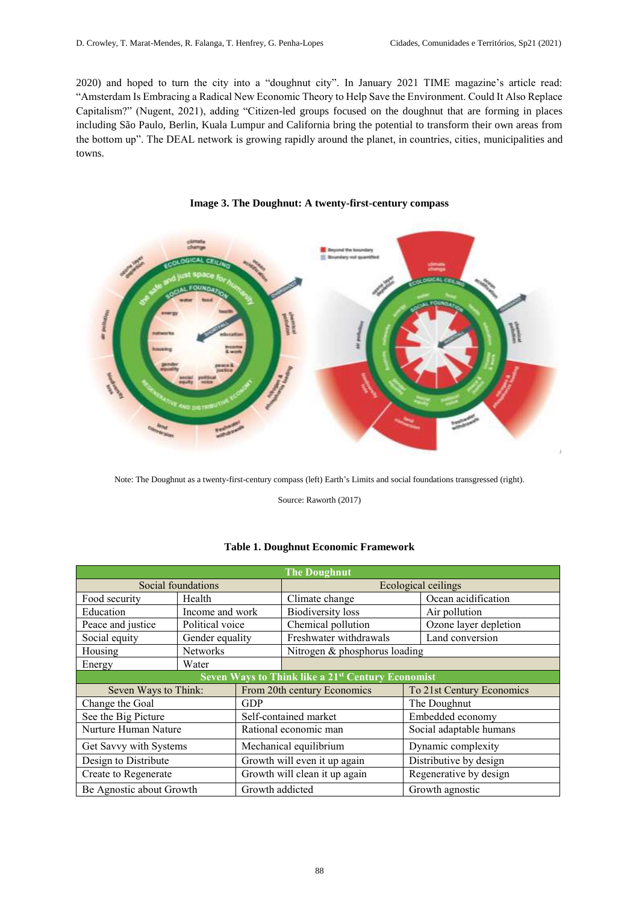2020) and hoped to turn the city into a "doughnut city". In January 2021 TIME magazine's article read: "Amsterdam Is Embracing a Radical New Economic Theory to Help Save the Environment. Could It Also Replace Capitalism?" (Nugent, 2021), adding "Citizen-led groups focused on the doughnut that are forming in places including São Paulo, Berlin, Kuala Lumpur and California bring the potential to transform their own areas from the bottom up". The DEAL network is growing rapidly around the planet, in countries, cities, municipalities and towns.





Note: The Doughnut as a twenty-first-century compass (left) Earth's Limits and social foundations transgressed (right).

Source: Raworth (2017)

## **Table 1. Doughnut Economic Framework**

| <b>The Doughnut</b>                                           |                 |                               |                               |                           |  |  |  |
|---------------------------------------------------------------|-----------------|-------------------------------|-------------------------------|---------------------------|--|--|--|
| Social foundations                                            |                 |                               | Ecological ceilings           |                           |  |  |  |
| Food security                                                 | Health          |                               | Climate change                | Ocean acidification       |  |  |  |
| Education                                                     | Income and work |                               | <b>Biodiversity</b> loss      | Air pollution             |  |  |  |
| Peace and justice                                             | Political voice |                               | Chemical pollution            | Ozone layer depletion     |  |  |  |
| Social equity                                                 | Gender equality |                               | Freshwater withdrawals        | Land conversion           |  |  |  |
| Housing                                                       | <b>Networks</b> |                               | Nitrogen & phosphorus loading |                           |  |  |  |
| Energy                                                        | Water           |                               |                               |                           |  |  |  |
| Seven Ways to Think like a 21 <sup>st</sup> Century Economist |                 |                               |                               |                           |  |  |  |
| Seven Ways to Think:                                          |                 | From 20th century Economics   |                               | To 21st Century Economics |  |  |  |
| Change the Goal                                               |                 | GDP                           |                               | The Doughnut              |  |  |  |
| See the Big Picture                                           |                 | Self-contained market         |                               | Embedded economy          |  |  |  |
| Nurture Human Nature                                          |                 | Rational economic man         |                               | Social adaptable humans   |  |  |  |
| Get Savvy with Systems                                        |                 | Mechanical equilibrium        |                               | Dynamic complexity        |  |  |  |
| Design to Distribute                                          |                 | Growth will even it up again  |                               | Distributive by design    |  |  |  |
| Create to Regenerate                                          |                 | Growth will clean it up again |                               | Regenerative by design    |  |  |  |
| Be Agnostic about Growth                                      |                 | Growth addicted               |                               | Growth agnostic           |  |  |  |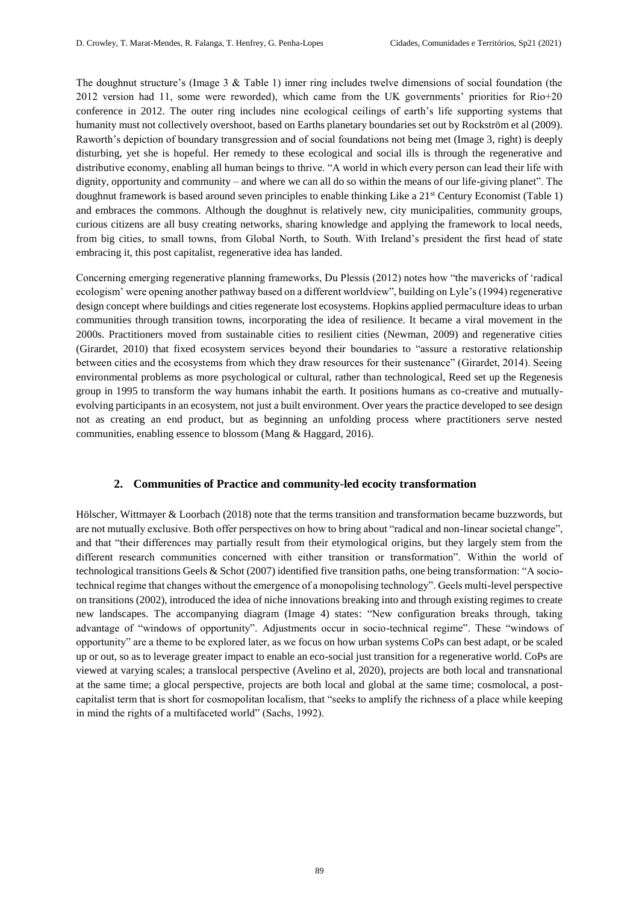The doughnut structure's (Image 3 & Table 1) inner ring includes twelve dimensions of social foundation (the 2012 version had 11, some were reworded), which came from the UK governments' priorities for Rio+20 conference in 2012. The outer ring includes nine ecological ceilings of earth's life supporting systems that humanity must not collectively overshoot, based on Earths planetary boundaries set out by Rockström et al (2009). Raworth's depiction of boundary transgression and of social foundations not being met (Image 3, right) is deeply disturbing, yet she is hopeful. Her remedy to these ecological and social ills is through the regenerative and distributive economy, enabling all human beings to thrive. "A world in which every person can lead their life with dignity, opportunity and community – and where we can all do so within the means of our life-giving planet". The doughnut framework is based around seven principles to enable thinking Like a 21<sup>st</sup> Century Economist (Table 1) and embraces the commons. Although the doughnut is relatively new, city municipalities, community groups, curious citizens are all busy creating networks, sharing knowledge and applying the framework to local needs, from big cities, to small towns, from Global North, to South. With Ireland's president the first head of state embracing it, this post capitalist, regenerative idea has landed.

Concerning emerging regenerative planning frameworks, Du Plessis (2012) notes how "the mavericks of 'radical ecologism' were opening another pathway based on a different worldview", building on Lyle's (1994) regenerative design concept where buildings and cities regenerate lost ecosystems. Hopkins applied permaculture ideas to urban communities through transition towns, incorporating the idea of resilience. It became a viral movement in the 2000s. Practitioners moved from sustainable cities to resilient cities (Newman, 2009) and regenerative cities (Girardet, 2010) that fixed ecosystem services beyond their boundaries to "assure a restorative relationship between cities and the ecosystems from which they draw resources for their sustenance" (Girardet, 2014). Seeing environmental problems as more psychological or cultural, rather than technological, Reed set up the Regenesis group in 1995 to transform the way humans inhabit the earth. It positions humans as co-creative and mutuallyevolving participants in an ecosystem, not just a built environment. Over years the practice developed to see design not as creating an end product, but as beginning an unfolding process where practitioners serve nested communities, enabling essence to blossom (Mang & Haggard, 2016).

# **2. Communities of Practice and community-led ecocity transformation**

Hölscher, Wittmayer & Loorbach (2018) note that the terms transition and transformation became buzzwords, but are not mutually exclusive. Both offer perspectives on how to bring about "radical and non-linear societal change", and that "their differences may partially result from their etymological origins, but they largely stem from the different research communities concerned with either transition or transformation". Within the world of technological transitions Geels & Schot (2007) identified five transition paths, one being transformation: "A sociotechnical regime that changes without the emergence of a monopolising technology". Geels multi-level perspective on transitions (2002), introduced the idea of niche innovations breaking into and through existing regimes to create new landscapes. The accompanying diagram (Image 4) states: "New configuration breaks through, taking advantage of "windows of opportunity". Adjustments occur in socio-technical regime". These "windows of opportunity" are a theme to be explored later, as we focus on how urban systems CoPs can best adapt, or be scaled up or out, so as to leverage greater impact to enable an eco-social just transition for a regenerative world. CoPs are viewed at varying scales; a translocal perspective (Avelino et al, 2020), projects are both local and transnational at the same time; a glocal perspective, projects are both local and global at the same time; cosmolocal, a postcapitalist term that is short for cosmopolitan localism, that "seeks to amplify the richness of a place while keeping in mind the rights of a multifaceted world" (Sachs, 1992).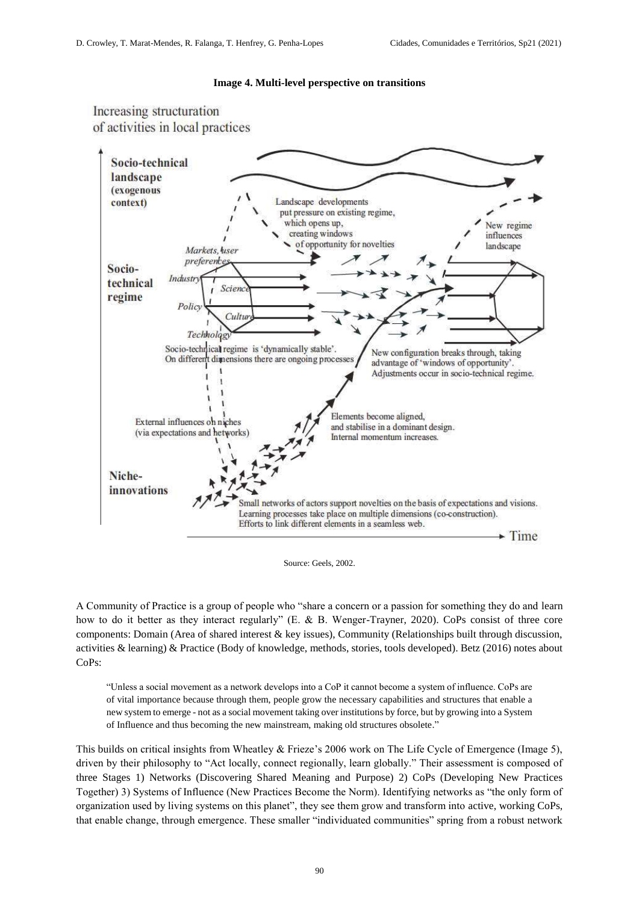

Increasing structuration of activities in local practices



Source: Geels, 2002.

A Community of Practice is a group of people who "share a concern or a passion for something they do and learn how to do it better as they interact regularly" (E. & B. Wenger-Trayner, 2020). CoPs consist of three core components: Domain (Area of shared interest & key issues), Community (Relationships built through discussion, activities & learning) & Practice (Body of knowledge, methods, stories, tools developed). Betz (2016) notes about CoPs:

"Unless a social movement as a network develops into a CoP it cannot become a system of influence. CoPs are of vital importance because through them, people grow the necessary capabilities and structures that enable a new system to emerge - not as a social movement taking over institutions by force, but by growing into a System of Influence and thus becoming the new mainstream, making old structures obsolete."

This builds on critical insights from Wheatley & Frieze's 2006 work on The Life Cycle of Emergence (Image 5), driven by their philosophy to "Act locally, connect regionally, learn globally." Their assessment is composed of three Stages 1) Networks (Discovering Shared Meaning and Purpose) 2) CoPs (Developing New Practices Together) 3) Systems of Influence (New Practices Become the Norm). Identifying networks as "the only form of organization used by living systems on this planet", they see them grow and transform into active, working CoPs, that enable change, through emergence. These smaller "individuated communities" spring from a robust network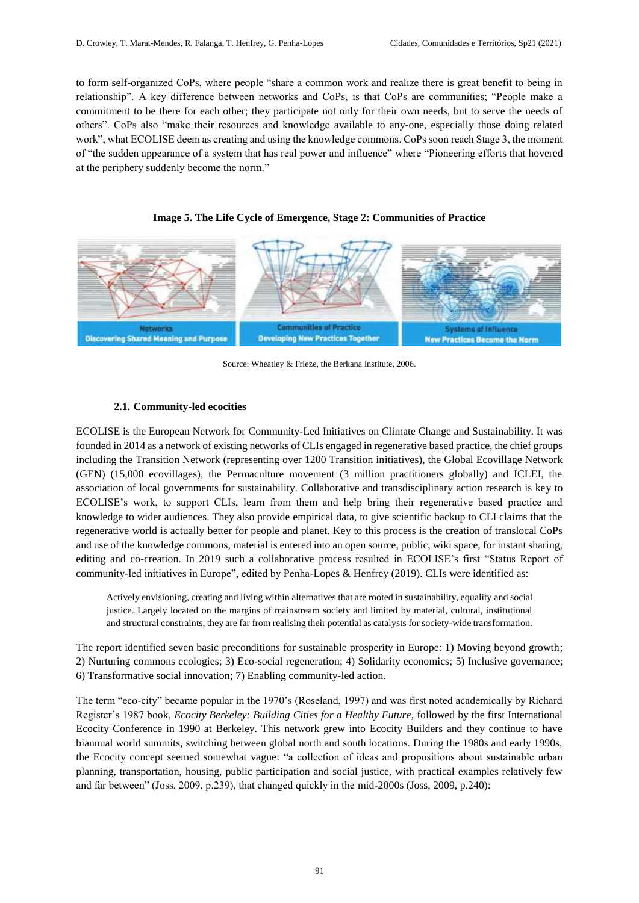to form self-organized CoPs, where people "share a common work and realize there is great benefit to being in relationship". A key difference between networks and CoPs, is that CoPs are communities; "People make a commitment to be there for each other; they participate not only for their own needs, but to serve the needs of others". CoPs also "make their resources and knowledge available to any-one, especially those doing related work", what ECOLISE deem as creating and using the knowledge commons. CoPs soon reach Stage 3, the moment of "the sudden appearance of a system that has real power and influence" where "Pioneering efforts that hovered at the periphery suddenly become the norm."





Source: Wheatley & Frieze, the Berkana Institute, 2006.

# **2.1. Community-led ecocities**

ECOLISE is the European Network for Community-Led Initiatives on Climate Change and Sustainability. It was founded in 2014 as a network of existing networks of CLIs engaged in regenerative based practice, the chief groups including the Transition Network (representing over 1200 Transition initiatives), the Global Ecovillage Network (GEN) (15,000 ecovillages), the Permaculture movement (3 million practitioners globally) and ICLEI, the association of local governments for sustainability. Collaborative and transdisciplinary action research is key to ECOLISE's work, to support CLIs, learn from them and help bring their regenerative based practice and knowledge to wider audiences. They also provide empirical data, to give scientific backup to CLI claims that the regenerative world is actually better for people and planet. Key to this process is the creation of translocal CoPs and use of the knowledge commons, material is entered into an open source, public, wiki space, for instant sharing, editing and co-creation. In 2019 such a collaborative process resulted in ECOLISE's first "Status Report of community-led initiatives in Europe", edited by Penha-Lopes & Henfrey (2019). CLIs were identified as:

Actively envisioning, creating and living within alternatives that are rooted in sustainability, equality and social justice. Largely located on the margins of mainstream society and limited by material, cultural, institutional and structural constraints, they are far from realising their potential as catalysts for society-wide transformation.

The report identified seven basic preconditions for sustainable prosperity in Europe: 1) Moving beyond growth; 2) Nurturing commons ecologies; 3) Eco-social regeneration; 4) Solidarity economics; 5) Inclusive governance; 6) Transformative social innovation; 7) Enabling community-led action.

The term "eco-city" became popular in the 1970's (Roseland, 1997) and was first noted academically by Richard Register's 1987 book, *Ecocity Berkeley: Building Cities for a Healthy Future*, followed by the first International Ecocity Conference in 1990 at Berkeley. This network grew into Ecocity Builders and they continue to have biannual world summits, switching between global north and south locations. During the 1980s and early 1990s, the Ecocity concept seemed somewhat vague: "a collection of ideas and propositions about sustainable urban planning, transportation, housing, public participation and social justice, with practical examples relatively few and far between" (Joss, 2009, p.239), that changed quickly in the mid-2000s (Joss, 2009, p.240):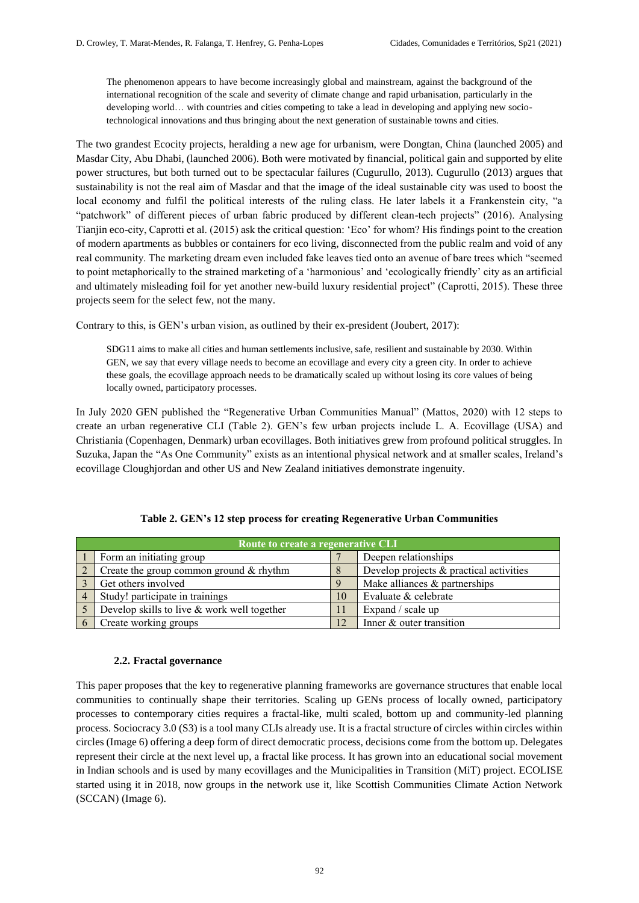The phenomenon appears to have become increasingly global and mainstream, against the background of the international recognition of the scale and severity of climate change and rapid urbanisation, particularly in the developing world… with countries and cities competing to take a lead in developing and applying new sociotechnological innovations and thus bringing about the next generation of sustainable towns and cities.

The two grandest Ecocity projects, heralding a new age for urbanism, were Dongtan, China (launched 2005) and Masdar City, Abu Dhabi, (launched 2006). Both were motivated by financial, political gain and supported by elite power structures, but both turned out to be spectacular failures (Cugurullo, 2013). Cugurullo (2013) argues that sustainability is not the real aim of Masdar and that the image of the ideal sustainable city was used to boost the local economy and fulfil the political interests of the ruling class. He later labels it a Frankenstein city, "a "patchwork" of different pieces of urban fabric produced by different clean-tech projects" (2016). Analysing Tianjin eco-city, Caprotti et al. (2015) ask the critical question: 'Eco' for whom? His findings point to the creation of modern apartments as bubbles or containers for eco living, disconnected from the public realm and void of any real community. The marketing dream even included fake leaves tied onto an avenue of bare trees which "seemed to point metaphorically to the strained marketing of a 'harmonious' and 'ecologically friendly' city as an artificial and ultimately misleading foil for yet another new-build luxury residential project" (Caprotti, 2015). These three projects seem for the select few, not the many.

Contrary to this, is GEN's urban vision, as outlined by their ex-president (Joubert, 2017):

SDG11 aims to make all cities and human settlements inclusive, safe, resilient and sustainable by 2030. Within GEN, we say that every village needs to become an ecovillage and every city a green city. In order to achieve these goals, the ecovillage approach needs to be dramatically scaled up without losing its core values of being locally owned, participatory processes.

In July 2020 GEN published the "Regenerative Urban Communities Manual" (Mattos, 2020) with 12 steps to create an urban regenerative CLI (Table 2). GEN's few urban projects include L. A. Ecovillage (USA) and Christiania (Copenhagen, Denmark) urban ecovillages. Both initiatives grew from profound political struggles. In Suzuka, Japan the "As One Community" exists as an intentional physical network and at smaller scales, Ireland's ecovillage Cloughjordan and other US and New Zealand initiatives demonstrate ingenuity.

| Route to create a regenerative CLI |                                             |    |                                         |  |  |
|------------------------------------|---------------------------------------------|----|-----------------------------------------|--|--|
|                                    | Form an initiating group                    |    | Deepen relationships                    |  |  |
|                                    | Create the group common ground & rhythm     |    | Develop projects & practical activities |  |  |
|                                    | Get others involved                         | 9  | Make alliances & partnerships           |  |  |
|                                    | Study! participate in trainings             | 10 | Evaluate & celebrate                    |  |  |
|                                    | Develop skills to live & work well together |    | Expand / scale up                       |  |  |
|                                    | Create working groups                       |    | Inner & outer transition                |  |  |

#### **2.2. Fractal governance**

This paper proposes that the key to regenerative planning frameworks are governance structures that enable local communities to continually shape their territories. Scaling up GENs process of locally owned, participatory processes to contemporary cities requires a fractal-like, multi scaled, bottom up and community-led planning process. Sociocracy 3.0 (S3) is a tool many CLIs already use. It is a fractal structure of circles within circles within circles (Image 6) offering a deep form of direct democratic process, decisions come from the bottom up. Delegates represent their circle at the next level up, a fractal like process. It has grown into an educational social movement in Indian schools and is used by many ecovillages and the Municipalities in Transition (MiT) project. ECOLISE started using it in 2018, now groups in the network use it, like Scottish Communities Climate Action Network (SCCAN) (Image 6).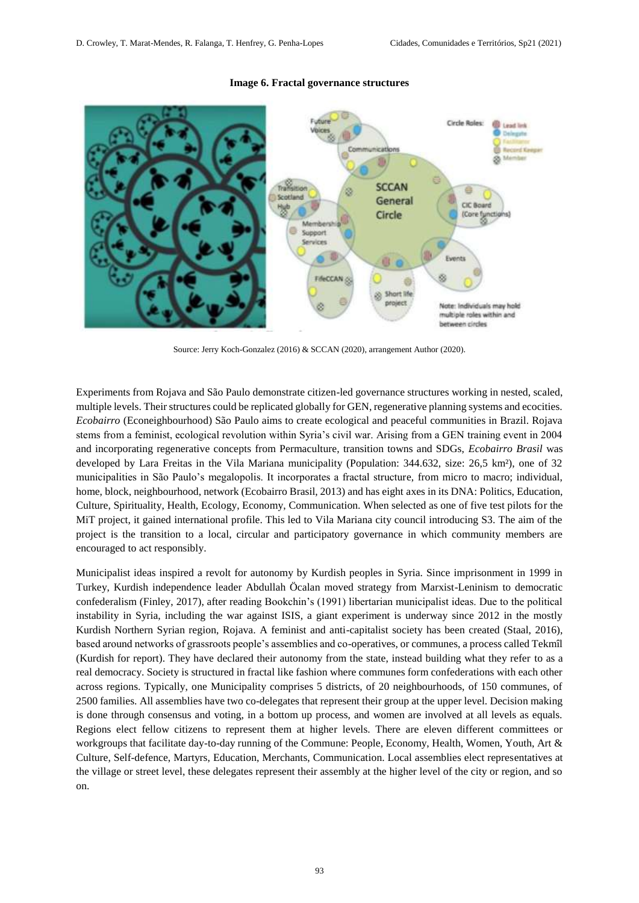

#### **Image 6. Fractal governance structures**

Source: Jerry Koch-Gonzalez (2016) & SCCAN (2020), arrangement Author (2020).

Experiments from Rojava and São Paulo demonstrate citizen-led governance structures working in nested, scaled, multiple levels. Their structures could be replicated globally for GEN, regenerative planning systems and ecocities. *Ecobairro* (Econeighbourhood) São Paulo aims to create ecological and peaceful communities in Brazil. Rojava stems from a feminist, ecological revolution within Syria's civil war. Arising from a GEN training event in 2004 and incorporating regenerative concepts from Permaculture, transition towns and SDGs, *Ecobairro Brasil* was developed by Lara Freitas in the Vila Mariana municipality (Population: 344.632, size: 26,5 km²), one of 32 municipalities in São Paulo's megalopolis. It incorporates a fractal structure, from micro to macro; individual, home, block, neighbourhood, network (Ecobairro Brasil, 2013) and has eight axes in its DNA: Politics, Education, Culture, Spirituality, Health, Ecology, Economy, Communication. When selected as one of five test pilots for the MiT project, it gained international profile. This led to Vila Mariana city council introducing S3. The aim of the project is the transition to a local, circular and participatory governance in which community members are encouraged to act responsibly.

Municipalist ideas inspired a revolt for autonomy by Kurdish peoples in Syria. Since imprisonment in 1999 in Turkey, Kurdish independence leader Abdullah Öcalan moved strategy from Marxist-Leninism to democratic confederalism (Finley, 2017), after reading Bookchin's (1991) libertarian municipalist ideas. Due to the political instability in Syria, including the war against ISIS, a giant experiment is underway since 2012 in the mostly Kurdish Northern Syrian region, Rojava. A feminist and anti-capitalist society has been created (Staal, 2016), based around networks of grassroots people's assemblies and co-operatives, or communes, a process called Tekmîl (Kurdish for report). They have declared their autonomy from the state, instead building what they refer to as a real democracy. Society is structured in fractal like fashion where communes form confederations with each other across regions. Typically, one Municipality comprises 5 districts, of 20 neighbourhoods, of 150 communes, of 2500 families. All assemblies have two co-delegates that represent their group at the upper level. Decision making is done through consensus and voting, in a bottom up process, and women are involved at all levels as equals. Regions elect fellow citizens to represent them at higher levels. There are eleven different committees or workgroups that facilitate day-to-day running of the Commune: People, Economy, Health, Women, Youth, Art & Culture, Self-defence, Martyrs, Education, Merchants, Communication. Local assemblies elect representatives at the village or street level, these delegates represent their assembly at the higher level of the city or region, and so on.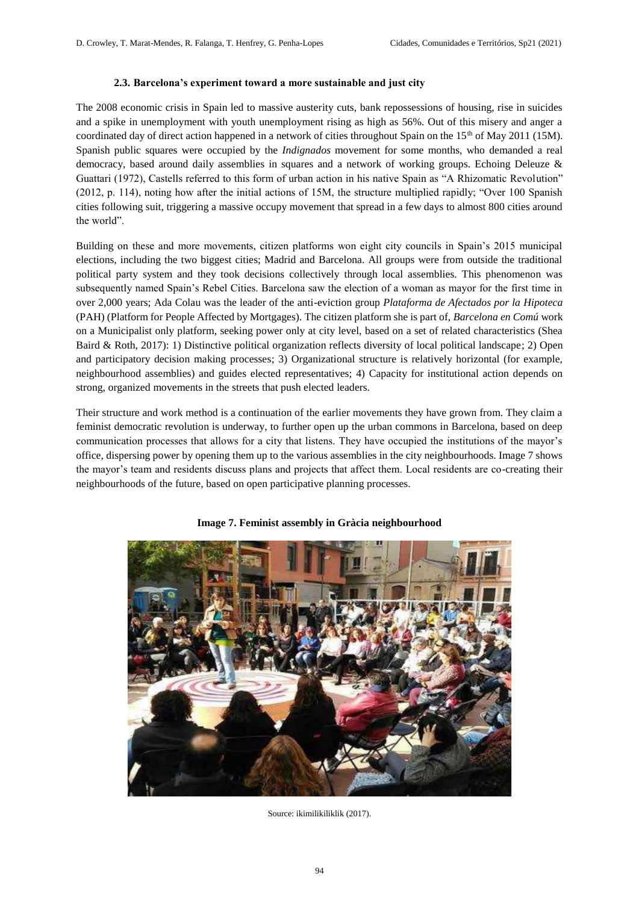#### **2.3. Barcelona's experiment toward a more sustainable and just city**

The 2008 economic crisis in Spain led to massive austerity cuts, bank repossessions of housing, rise in suicides and a spike in unemployment with youth unemployment rising as high as 56%. Out of this misery and anger a coordinated day of direct action happened in a network of cities throughout Spain on the  $15<sup>th</sup>$  of May 2011 (15M). Spanish public squares were occupied by the *Indignados* movement for some months, who demanded a real democracy, based around daily assemblies in squares and a network of working groups. Echoing Deleuze & Guattari (1972), Castells referred to this form of urban action in his native Spain as "A Rhizomatic Revolution" (2012, p. 114), noting how after the initial actions of 15M, the structure multiplied rapidly; "Over 100 Spanish cities following suit, triggering a massive occupy movement that spread in a few days to almost 800 cities around the world".

Building on these and more movements, citizen platforms won eight city councils in Spain's 2015 municipal elections, including the two biggest cities; Madrid and Barcelona. All groups were from outside the traditional political party system and they took decisions collectively through local assemblies. This phenomenon was subsequently named Spain's Rebel Cities. Barcelona saw the election of a woman as mayor for the first time in over 2,000 years; Ada Colau was the leader of the anti-eviction group *Plataforma de Afectados por la Hipoteca* (PAH) (Platform for People Affected by Mortgages). The citizen platform she is part of, *Barcelona en Comú* work on a Municipalist only platform, seeking power only at city level, based on a set of related characteristics (Shea Baird & Roth, 2017): 1) Distinctive political organization reflects diversity of local political landscape; 2) Open and participatory decision making processes; 3) Organizational structure is relatively horizontal (for example, neighbourhood assemblies) and guides elected representatives; 4) Capacity for institutional action depends on strong, organized movements in the streets that push elected leaders.

Their structure and work method is a continuation of the earlier movements they have grown from. They claim a feminist democratic revolution is underway, to further open up the urban commons in Barcelona, based on deep communication processes that allows for a city that listens. They have occupied the institutions of the mayor's office, dispersing power by opening them up to the various assemblies in the city neighbourhoods. Image 7 shows the mayor's team and residents discuss plans and projects that affect them. Local residents are co-creating their neighbourhoods of the future, based on open participative planning processes.



**Image 7. Feminist assembly in Gràcia neighbourhood**

Source: ikimilikiliklik (2017).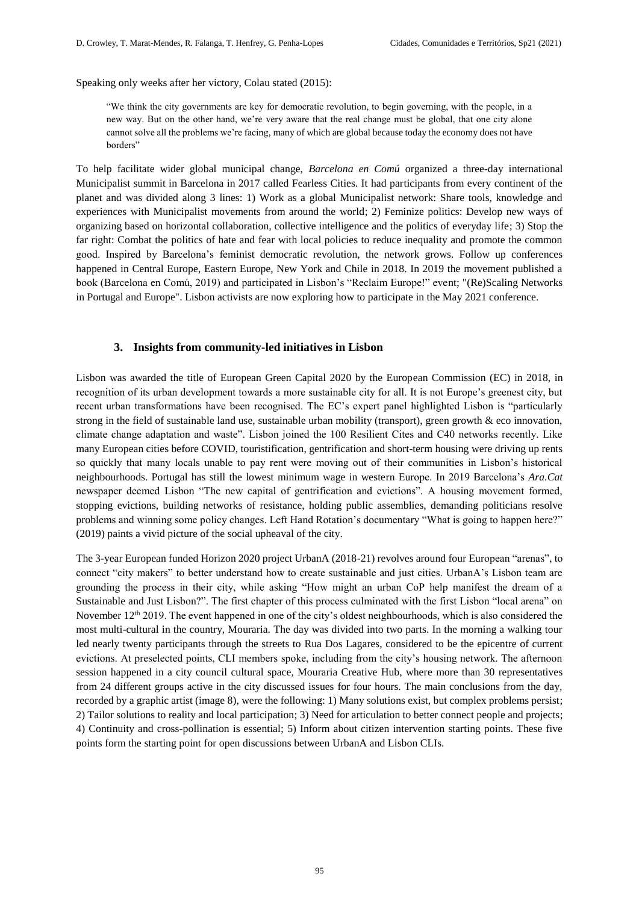Speaking only weeks after her victory, Colau stated (2015):

"We think the city governments are key for democratic revolution, to begin governing, with the people, in a new way. But on the other hand, we're very aware that the real change must be global, that one city alone cannot solve all the problems we're facing, many of which are global because today the economy does not have borders"

To help facilitate wider global municipal change, *Barcelona en Comú* organized a three-day international Municipalist summit in Barcelona in 2017 called Fearless Cities. It had participants from every continent of the planet and was divided along 3 lines: 1) Work as a global Municipalist network: Share tools, knowledge and experiences with Municipalist movements from around the world; 2) Feminize politics: Develop new ways of organizing based on horizontal collaboration, collective intelligence and the politics of everyday life; 3) Stop the far right: Combat the politics of hate and fear with local policies to reduce inequality and promote the common good. Inspired by Barcelona's feminist democratic revolution, the network grows. Follow up conferences happened in Central Europe, Eastern Europe, New York and Chile in 2018. In 2019 the movement published a book (Barcelona en Comú, 2019) and participated in Lisbon's "Reclaim Europe!" event; "(Re)Scaling Networks in Portugal and Europe". Lisbon activists are now exploring how to participate in the May 2021 conference.

# **3. Insights from community-led initiatives in Lisbon**

Lisbon was awarded the title of European Green Capital 2020 by the European Commission (EC) in 2018, in recognition of its urban development towards a more sustainable city for all. It is not Europe's greenest city, but recent urban transformations have been recognised. The EC's expert panel highlighted Lisbon is "particularly strong in the field of sustainable land use, sustainable urban mobility (transport), green growth & eco innovation, climate change adaptation and waste". Lisbon joined the 100 Resilient Cites and C40 networks recently. Like many European cities before COVID, touristification, gentrification and short-term housing were driving up rents so quickly that many locals unable to pay rent were moving out of their communities in Lisbon's historical neighbourhoods. Portugal has still the lowest minimum wage in western Europe. In 2019 Barcelona's *Ara.Cat* newspaper deemed Lisbon "The new capital of gentrification and evictions". A housing movement formed, stopping evictions, building networks of resistance, holding public assemblies, demanding politicians resolve problems and winning some policy changes. Left Hand Rotation's documentary "What is going to happen here?" (2019) paints a vivid picture of the social upheaval of the city.

The 3-year European funded Horizon 2020 project UrbanA (2018-21) revolves around four European "arenas", to connect "city makers" to better understand how to create sustainable and just cities. UrbanA's Lisbon team are grounding the process in their city, while asking "How might an urban CoP help manifest the dream of a Sustainable and Just Lisbon?". The first chapter of this process culminated with the first Lisbon "local arena" on November 12<sup>th</sup> 2019. The event happened in one of the city's oldest neighbourhoods, which is also considered the most multi-cultural in the country, Mouraria. The day was divided into two parts. In the morning a walking tour led nearly twenty participants through the streets to Rua Dos Lagares, considered to be the epicentre of current evictions. At preselected points, CLI members spoke, including from the city's housing network. The afternoon session happened in a city council cultural space, Mouraria Creative Hub, where more than 30 representatives from 24 different groups active in the city discussed issues for four hours. The main conclusions from the day, recorded by a graphic artist (image 8), were the following: 1) Many solutions exist, but complex problems persist; 2) Tailor solutions to reality and local participation; 3) Need for articulation to better connect people and projects; 4) Continuity and cross-pollination is essential; 5) Inform about citizen intervention starting points. These five points form the starting point for open discussions between UrbanA and Lisbon CLIs.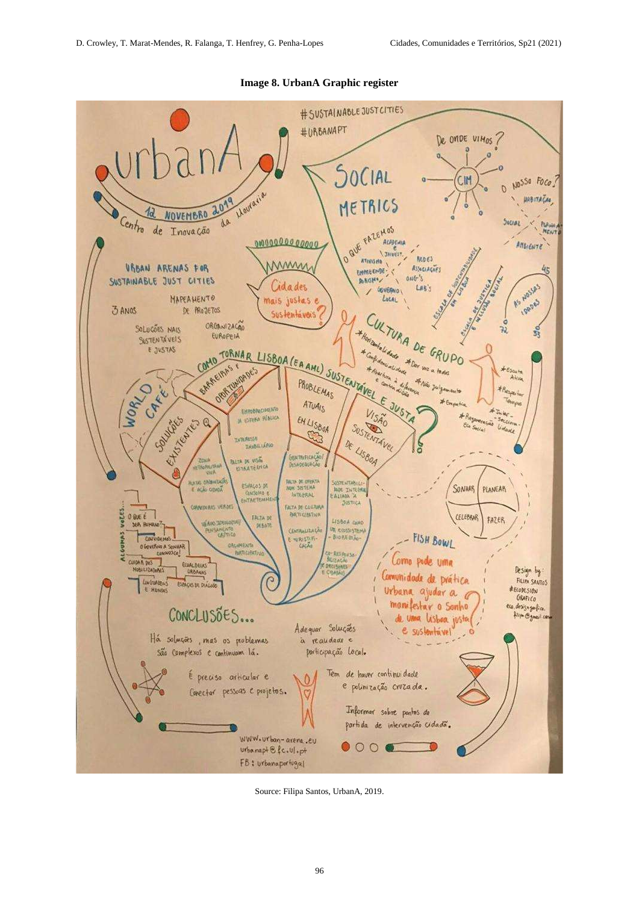

**Image 8. UrbanA Graphic register**

Source: Filipa Santos, UrbanA, 2019.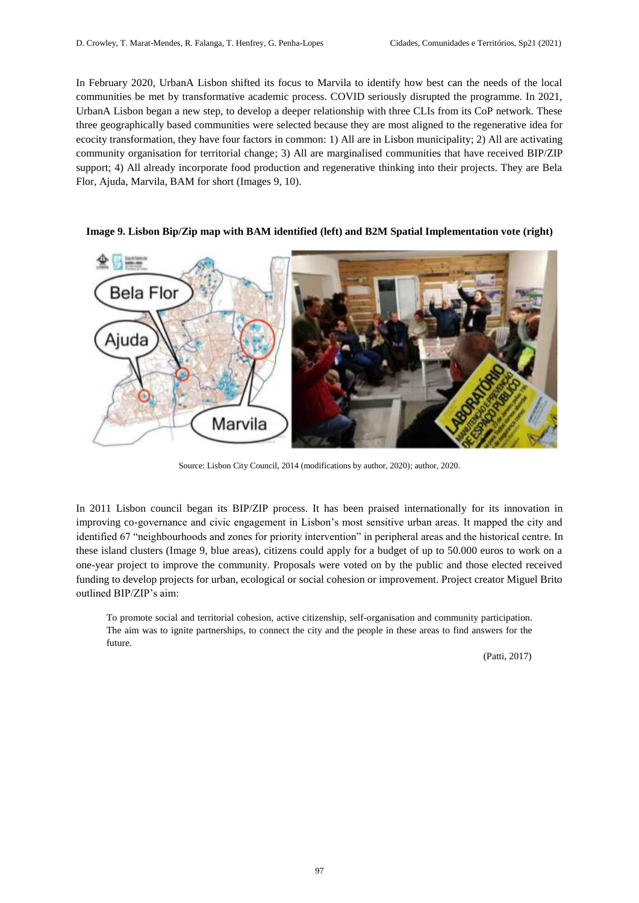In February 2020, UrbanA Lisbon shifted its focus to Marvila to identify how best can the needs of the local communities be met by transformative academic process. COVID seriously disrupted the programme. In 2021, UrbanA Lisbon began a new step, to develop a deeper relationship with three CLIs from its CoP network. These three geographically based communities were selected because they are most aligned to the regenerative idea for ecocity transformation, they have four factors in common: 1) All are in Lisbon municipality; 2) All are activating community organisation for territorial change; 3) All are marginalised communities that have received BIP/ZIP support; 4) All already incorporate food production and regenerative thinking into their projects. They are Bela Flor, Ajuda, Marvila, BAM for short (Images 9, 10).



#### **Image 9. Lisbon Bip/Zip map with BAM identified (left) and B2M Spatial Implementation vote (right)**

Source: Lisbon City Council, 2014 (modifications by author, 2020); author, 2020.

In 2011 Lisbon council began its BIP/ZIP process. It has been praised internationally for its innovation in improving co-governance and civic engagement in Lisbon's most sensitive urban areas. It mapped the city and identified 67 "neighbourhoods and zones for priority intervention" in peripheral areas and the historical centre. In these island clusters (Image 9, blue areas), citizens could apply for a budget of up to 50.000 euros to work on a one-year project to improve the community. Proposals were voted on by the public and those elected received funding to develop projects for urban, ecological or social cohesion or improvement. Project creator Miguel Brito outlined BIP/ZIP's aim:

To promote social and territorial cohesion, active citizenship, self-organisation and community participation. The aim was to ignite partnerships, to connect the city and the people in these areas to find answers for the future.

(Patti, 2017)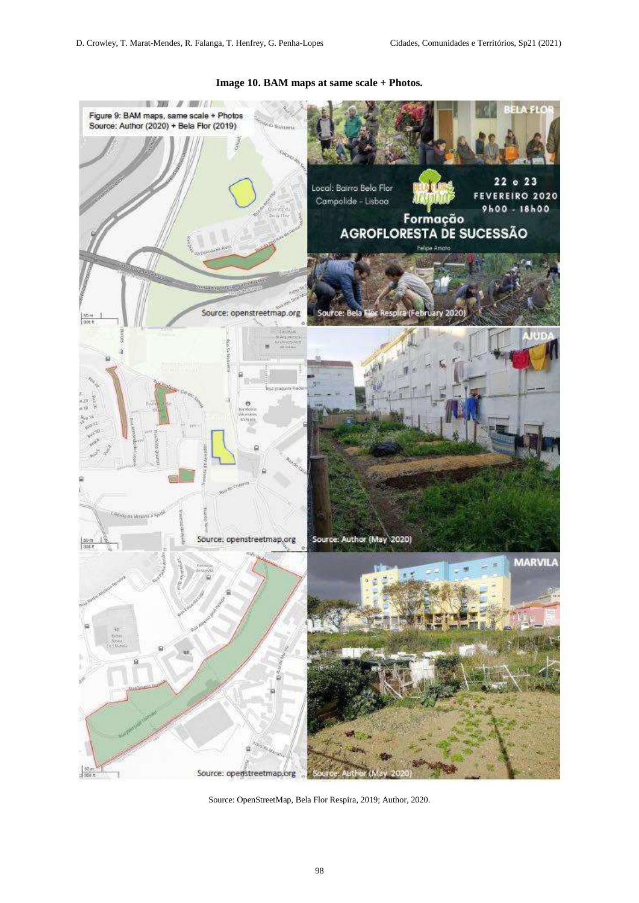

# **Image 10. BAM maps at same scale + Photos.**

Source: OpenStreetMap, Bela Flor Respira, 2019; Author, 2020.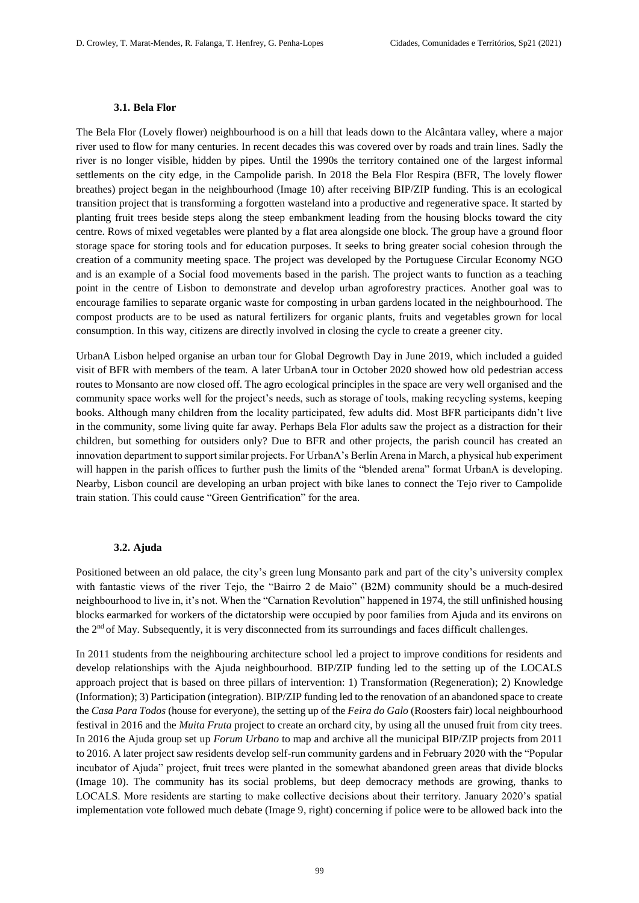#### **3.1. Bela Flor**

The Bela Flor (Lovely flower) neighbourhood is on a hill that leads down to the Alcântara valley, where a major river used to flow for many centuries. In recent decades this was covered over by roads and train lines. Sadly the river is no longer visible, hidden by pipes. Until the 1990s the territory contained one of the largest informal settlements on the city edge, in the Campolide parish. In 2018 the Bela Flor Respira (BFR, The lovely flower breathes) project began in the neighbourhood (Image 10) after receiving BIP/ZIP funding. This is an ecological transition project that is transforming a forgotten wasteland into a productive and regenerative space. It started by planting fruit trees beside steps along the steep embankment leading from the housing blocks toward the city centre. Rows of mixed vegetables were planted by a flat area alongside one block. The group have a ground floor storage space for storing tools and for education purposes. It seeks to bring greater social cohesion through the creation of a community meeting space. The project was developed by the Portuguese Circular Economy NGO and is an example of a Social food movements based in the parish. The project wants to function as a teaching point in the centre of Lisbon to demonstrate and develop urban agroforestry practices. Another goal was to encourage families to separate organic waste for composting in urban gardens located in the neighbourhood. The compost products are to be used as natural fertilizers for organic plants, fruits and vegetables grown for local consumption. In this way, citizens are directly involved in closing the cycle to create a greener city.

UrbanA Lisbon helped organise an urban tour for Global Degrowth Day in June 2019, which included a guided visit of BFR with members of the team. A later UrbanA tour in October 2020 showed how old pedestrian access routes to Monsanto are now closed off. The agro ecological principles in the space are very well organised and the community space works well for the project's needs, such as storage of tools, making recycling systems, keeping books. Although many children from the locality participated, few adults did. Most BFR participants didn't live in the community, some living quite far away. Perhaps Bela Flor adults saw the project as a distraction for their children, but something for outsiders only? Due to BFR and other projects, the parish council has created an innovation department to support similar projects. For UrbanA's Berlin Arena in March, a physical hub experiment will happen in the parish offices to further push the limits of the "blended arena" format UrbanA is developing. Nearby, Lisbon council are developing an urban project with bike lanes to connect the Tejo river to Campolide train station. This could cause "Green Gentrification" for the area.

#### **3.2. Ajuda**

Positioned between an old palace, the city's green lung Monsanto park and part of the city's university complex with fantastic views of the river Tejo, the "Bairro 2 de Maio" (B2M) community should be a much-desired neighbourhood to live in, it's not. When the "Carnation Revolution" happened in 1974, the still unfinished housing blocks earmarked for workers of the dictatorship were occupied by poor families from Ajuda and its environs on the 2nd of May. Subsequently, it is very disconnected from its surroundings and faces difficult challenges.

In 2011 students from the neighbouring architecture school led a project to improve conditions for residents and develop relationships with the Ajuda neighbourhood. BIP/ZIP funding led to the setting up of the LOCALS approach project that is based on three pillars of intervention: 1) Transformation (Regeneration); 2) Knowledge (Information); 3) Participation (integration). BIP/ZIP funding led to the renovation of an abandoned space to create the *Casa Para Todos* (house for everyone), the setting up of the *Feira do Galo* (Roosters fair) local neighbourhood festival in 2016 and the *Muita Fruta* project to create an orchard city, by using all the unused fruit from city trees. In 2016 the Ajuda group set up *Forum Urbano* to map and archive all the municipal BIP/ZIP projects from 2011 to 2016. A later project saw residents develop self-run community gardens and in February 2020 with the "Popular incubator of Ajuda" project, fruit trees were planted in the somewhat abandoned green areas that divide blocks (Image 10). The community has its social problems, but deep democracy methods are growing, thanks to LOCALS. More residents are starting to make collective decisions about their territory. January 2020's spatial implementation vote followed much debate (Image 9, right) concerning if police were to be allowed back into the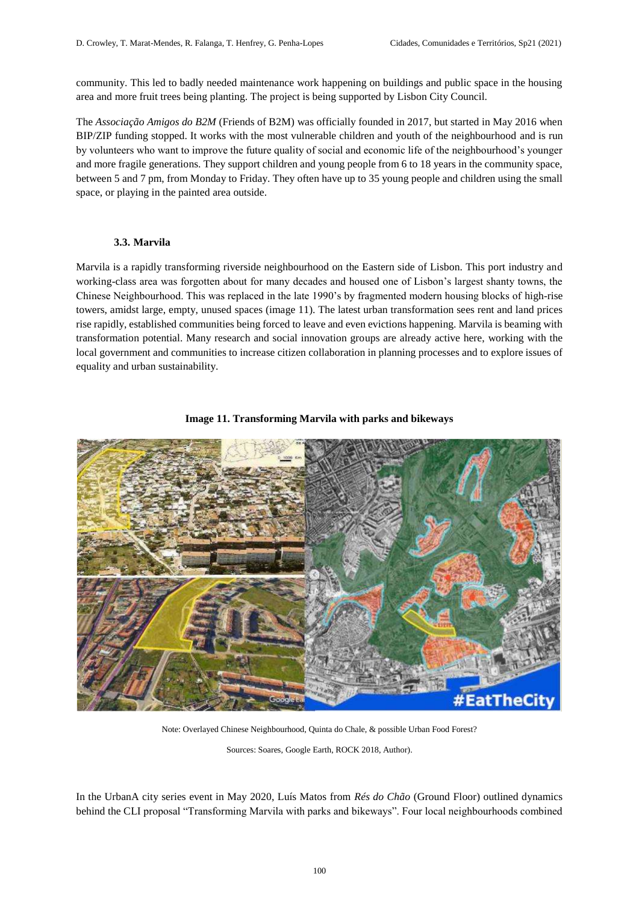community. This led to badly needed maintenance work happening on buildings and public space in the housing area and more fruit trees being planting. The project is being supported by Lisbon City Council.

The *Associação Amigos do B2M* (Friends of B2M) was officially founded in 2017, but started in May 2016 when BIP/ZIP funding stopped. It works with the most vulnerable children and youth of the neighbourhood and is run by volunteers who want to improve the future quality of social and economic life of the neighbourhood's younger and more fragile generations. They support children and young people from 6 to 18 years in the community space, between 5 and 7 pm, from Monday to Friday. They often have up to 35 young people and children using the small space, or playing in the painted area outside.

# **3.3. Marvila**

Marvila is a rapidly transforming riverside neighbourhood on the Eastern side of Lisbon. This port industry and working-class area was forgotten about for many decades and housed one of Lisbon's largest shanty towns, the Chinese Neighbourhood. This was replaced in the late 1990's by fragmented modern housing blocks of high-rise towers, amidst large, empty, unused spaces (image 11). The latest urban transformation sees rent and land prices rise rapidly, established communities being forced to leave and even evictions happening. Marvila is beaming with transformation potential. Many research and social innovation groups are already active here, working with the local government and communities to increase citizen collaboration in planning processes and to explore issues of equality and urban sustainability.



# **Image 11. Transforming Marvila with parks and bikeways**

Note: Overlayed Chinese Neighbourhood, Quinta do Chale, & possible Urban Food Forest?

Sources: Soares, Google Earth, ROCK 2018, Author).

In the UrbanA city series event in May 2020, Luís Matos from *Rés do Chão* (Ground Floor) outlined dynamics behind the CLI proposal "Transforming Marvila with parks and bikeways". Four local neighbourhoods combined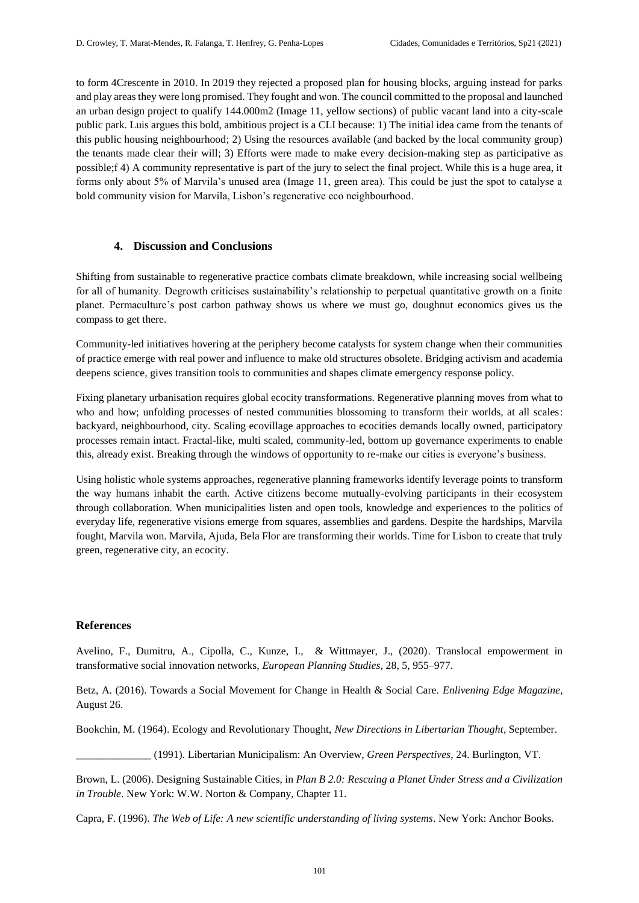to form 4Crescente in 2010. In 2019 they rejected a proposed plan for housing blocks, arguing instead for parks and play areas they were long promised. They fought and won. The council committed to the proposal and launched an urban design project to qualify 144.000m2 (Image 11, yellow sections) of public vacant land into a city-scale public park. Luis argues this bold, ambitious project is a CLI because: 1) The initial idea came from the tenants of this public housing neighbourhood; 2) Using the resources available (and backed by the local community group) the tenants made clear their will; 3) Efforts were made to make every decision-making step as participative as possible;f 4) A community representative is part of the jury to select the final project. While this is a huge area, it forms only about 5% of Marvila's unused area (Image 11, green area). This could be just the spot to catalyse a bold community vision for Marvila, Lisbon's regenerative eco neighbourhood.

# **4. Discussion and Conclusions**

Shifting from sustainable to regenerative practice combats climate breakdown, while increasing social wellbeing for all of humanity. Degrowth criticises sustainability's relationship to perpetual quantitative growth on a finite planet. Permaculture's post carbon pathway shows us where we must go, doughnut economics gives us the compass to get there.

Community-led initiatives hovering at the periphery become catalysts for system change when their communities of practice emerge with real power and influence to make old structures obsolete. Bridging activism and academia deepens science, gives transition tools to communities and shapes climate emergency response policy.

Fixing planetary urbanisation requires global ecocity transformations. Regenerative planning moves from what to who and how; unfolding processes of nested communities blossoming to transform their worlds, at all scales: backyard, neighbourhood, city. Scaling ecovillage approaches to ecocities demands locally owned, participatory processes remain intact. Fractal-like, multi scaled, community-led, bottom up governance experiments to enable this, already exist. Breaking through the windows of opportunity to re-make our cities is everyone's business.

Using holistic whole systems approaches, regenerative planning frameworks identify leverage points to transform the way humans inhabit the earth. Active citizens become mutually-evolving participants in their ecosystem through collaboration. When municipalities listen and open tools, knowledge and experiences to the politics of everyday life, regenerative visions emerge from squares, assemblies and gardens. Despite the hardships, Marvila fought, Marvila won. Marvila, Ajuda, Bela Flor are transforming their worlds. Time for Lisbon to create that truly green, regenerative city, an ecocity.

# **References**

Avelino, F., Dumitru, A., Cipolla, C., Kunze, I., & Wittmayer, J., (2020). Translocal empowerment in transformative social innovation networks, *European Planning Studies*, 28, 5, 955–977.

Betz, A. (2016). Towards a Social Movement for Change in Health & Social Care. *Enlivening Edge Magazine*, August 26.

Bookchin, M. (1964). Ecology and Revolutionary Thought, *New Directions in Libertarian Thought*, September.

\_\_\_\_\_\_\_\_\_\_\_\_\_\_ (1991). Libertarian Municipalism: An Overview, *Green Perspectives*, 24. Burlington, VT.

Brown, L. (2006). Designing Sustainable Cities, in *Plan B 2.0: Rescuing a Planet Under Stress and a Civilization in Trouble*. New York: W.W. Norton & Company, Chapter 11.

Capra, F. (1996). *The Web of Life: A new scientific understanding of living systems*. New York: Anchor Books.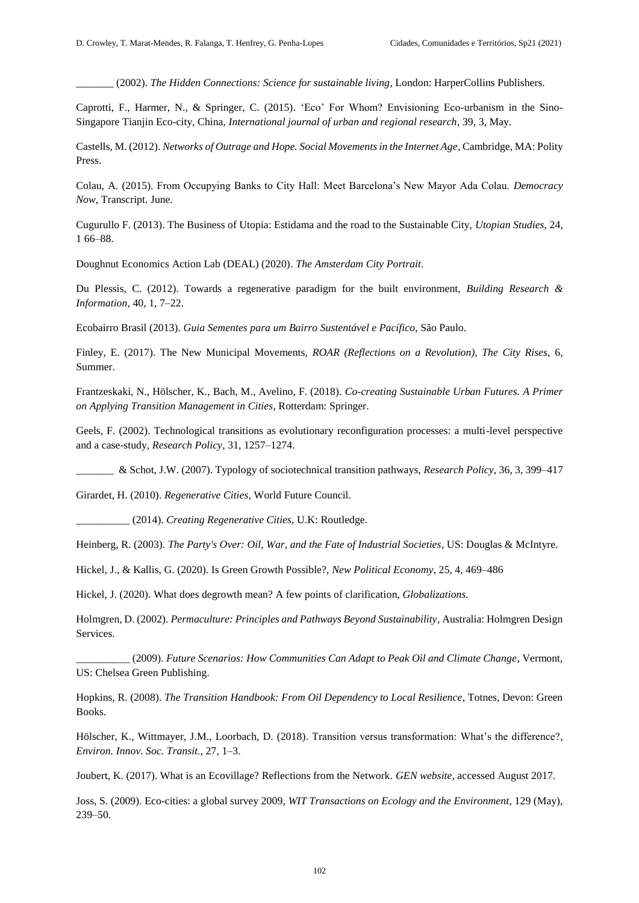\_\_\_\_\_\_\_ (2002). *The Hidden Connections: Science for sustainable living*, London: HarperCollins Publishers.

Caprotti, F., Harmer, N., & Springer, C. (2015). 'Eco' For Whom? Envisioning Eco-urbanism in the Sino-Singapore Tianjin Eco-city, China, *International journal of urban and regional research*, 39, 3, May.

Castells, M. (2012). *Networks of Outrage and Hope. Social Movements in the Internet Age*, Cambridge, MA: Polity Press.

Colau, A. (2015). From Occupying Banks to City Hall: Meet Barcelona's New Mayor Ada Colau. *Democracy Now*, Transcript. June.

Cugurullo F. (2013). The Business of Utopia: Estidama and the road to the Sustainable City, *Utopian Studies*, 24, 1 66–88.

Doughnut Economics Action Lab (DEAL) (2020). *The Amsterdam City Portrait*.

Du Plessis, C. (2012). Towards a regenerative paradigm for the built environment, *Building Research & Information*, 40, 1, 7–22.

Ecobairro Brasil (2013). *Guia Sementes para um Bairro Sustentável e Pacífico*, São Paulo.

Finley, E. (2017). The New Municipal Movements, *ROAR (Reflections on a Revolution), The City Rises*, 6, Summer.

Frantzeskaki, N., Hölscher, K., Bach, M., Avelino, F. (2018). *Co-creating Sustainable Urban Futures. A Primer on Applying Transition Management in Cities*, Rotterdam: Springer.

Geels, F. (2002). Technological transitions as evolutionary reconfiguration processes: a multi-level perspective and a case-study, *Research Policy*, 31, 1257–1274.

\_\_\_\_\_\_\_ & Schot, J.W. (2007). Typology of sociotechnical transition pathways, *Research Policy*, 36, 3, 399–417

Girardet, H. (2010). *Regenerative Cities*, World Future Council.

\_\_\_\_\_\_\_\_\_\_ (2014). *Creating Regenerative Cities*, U.K: Routledge.

Heinberg, R. (2003). *The Party's Over: Oil, War, and the Fate of Industrial Societies*, US: Douglas & McIntyre.

Hickel, J., & Kallis, G. (2020). Is Green Growth Possible?, *New Political Economy*, 25, 4, 469–486

Hickel, J. (2020). What does degrowth mean? A few points of clarification, *Globalizations.*

Holmgren, D. (2002). *Permaculture: Principles and Pathways Beyond Sustainability*, Australia: Holmgren Design Services.

\_\_\_\_\_\_\_\_\_\_ (2009). *Future Scenarios: How Communities Can Adapt to Peak Oil and Climate Change*, Vermont, US: Chelsea Green Publishing.

Hopkins, R. (2008). *The Transition Handbook: From Oil Dependency to Local Resilience*, Totnes, Devon: Green Books.

Hölscher, K., Wittmayer, J.M., Loorbach, D. (2018). Transition versus transformation: What's the difference?, *Environ. Innov. Soc. Transit.*, 27, 1–3.

Joubert, K. (2017). What is an Ecovillage? Reflections from the Network. *GEN website*, accessed August 2017.

Joss, S. (2009). Eco-cities: a global survey 2009, *WIT Transactions on Ecology and the Environment*, 129 (May), 239–50.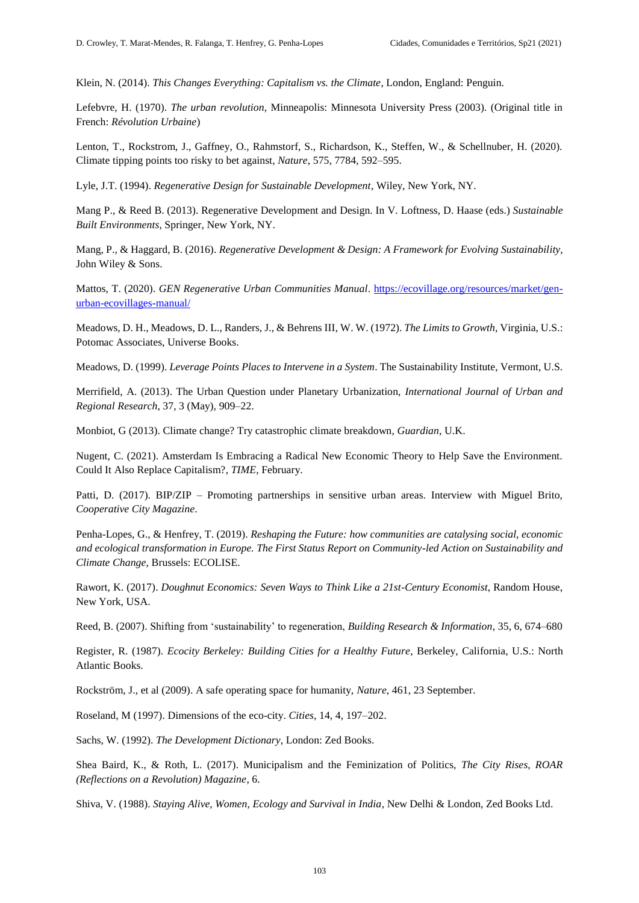Klein, N. (2014). *This Changes Everything: Capitalism vs. the Climate*, London, England: Penguin.

Lefebvre, H. (1970). *The urban revolution*, Minneapolis: Minnesota University Press (2003). (Original title in French: *Révolution Urbaine*)

Lenton, T., Rockstrom, J., Gaffney, O., Rahmstorf, S., Richardson, K., Steffen, W., & Schellnuber, H. (2020). Climate tipping points too risky to bet against, *Nature*, 575, 7784, 592–595.

Lyle, J.T. (1994). *Regenerative Design for Sustainable Development*, Wiley, New York, NY.

Mang P., & Reed B. (2013). Regenerative Development and Design. In V. Loftness, D. Haase (eds.) *Sustainable Built Environments*, Springer, New York, NY.

Mang, P., & Haggard, B. (2016). *Regenerative Development & Design: A Framework for Evolving Sustainability*, John Wiley & Sons.

Mattos, T. (2020). *GEN Regenerative Urban Communities Manual*. [https://ecovillage.org/resources/market/gen](https://ecovillage.org/resources/market/gen-urban-ecovillages-manual/)[urban-ecovillages-manual/](https://ecovillage.org/resources/market/gen-urban-ecovillages-manual/)

Meadows, D. H., Meadows, D. L., Randers, J., & Behrens III, W. W. (1972). *The Limits to Growth*, Virginia, U.S.: Potomac Associates, Universe Books.

Meadows, D. (1999). *Leverage Points Places to Intervene in a System*. The Sustainability Institute, Vermont, U.S.

Merrifield, A. (2013). The Urban Question under Planetary Urbanization, *International Journal of Urban and Regional Research*, 37, 3 (May), 909–22.

Monbiot, G (2013). Climate change? Try catastrophic climate breakdown, *Guardian*, U.K.

Nugent, C. (2021). Amsterdam Is Embracing a Radical New Economic Theory to Help Save the Environment. Could It Also Replace Capitalism?, *TIME*, February.

Patti, D. (2017). BIP/ZIP – Promoting partnerships in sensitive urban areas. Interview with Miguel Brito, *Cooperative City Magazine*.

Penha-Lopes, G., & Henfrey, T. (2019). *Reshaping the Future: how communities are catalysing social, economic and ecological transformation in Europe. The First Status Report on Community-led Action on Sustainability and Climate Change*, Brussels: ECOLISE.

Rawort, K. (2017). *Doughnut Economics: Seven Ways to Think Like a 21st-Century Economist*, Random House, New York, USA.

Reed, B. (2007). Shifting from 'sustainability' to regeneration, *Building Research & Information*, 35, 6, 674–680

Register, R. (1987). *Ecocity Berkeley: Building Cities for a Healthy Future*, Berkeley, California, U.S.: North Atlantic Books.

Rockström, J., et al (2009). A safe operating space for humanity, *Nature*, 461, 23 September.

Roseland, M (1997). Dimensions of the eco-city. *Cities*, 14, 4, 197–202.

Sachs, W. (1992). *The Development Dictionary*, London: Zed Books.

Shea Baird, K., & Roth, L. (2017). Municipalism and the Feminization of Politics, *The City Rises, ROAR (Reflections on a Revolution) Magazine*, 6.

Shiva, V. (1988). *Staying Alive, Women, Ecology and Survival in India*, New Delhi & London, Zed Books Ltd.